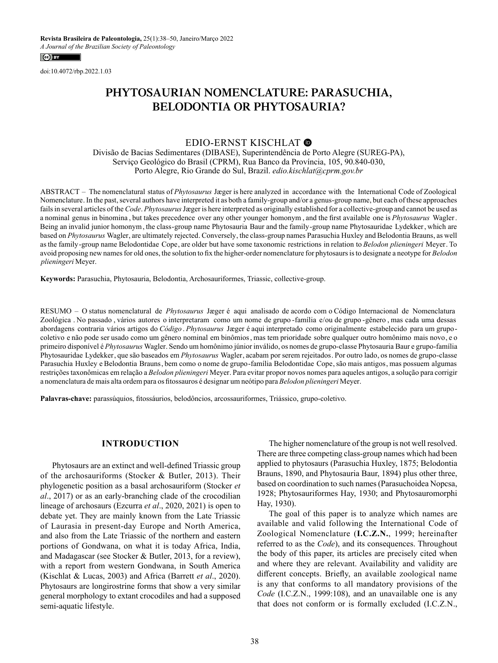doi:10.4072/rbp.2022.1.03

# **PHYTOSAURIAN NOMENCLATURE: PARASUCHIA, BELODONTIA OR PHYTOSAURIA?**

# EDIO-ERNST KISCHLAT

Divisão de Bacias Sedimentares (DIBASE), Superintendência de Porto Alegre (SUREG-PA), Serviço Geológico do Brasil (CPRM), Rua Banco da Província, 105, 90.840-030, Porto Alegre, Rio Grande do Sul, Brazil. *edio.kischlat@cprm.gov.br*

ABSTRACT – The nomenclatural status of *Phytosaurus* Jæger is here analyzed in accordance with the International Code of Zoological Nomenclature. In the past, several authors have interpreted it as both a family-group and/or a genus-group name, but each of these approaches failsin several articles of the *Code*. *Phytosaurus*Jæger is here interpreted as originally established for a collective-group and cannot be used as a nominal genus in binomina , but takes precedence over any other younger homonym , and the first available one is *Phytosaurus* Wagler. Being an invalid junior homonym, the class-group name Phytosauria Baur and the family-group name Phytosauridae Lydekker, which are based on *Phytosaurus* Wagler, are ultimately rejected. Conversely, the class-group names Parasuchia Huxley and Belodontia Brauns, as well as the family-group name Belodontidae Cope, are older but have some taxonomic restrictions in relation to *Belodon plieningeri* Meyer. To avoid proposing new namesfor old ones, the solution to fix the higher-order nomenclature for phytosaursisto designate a neotype for *Belodon plieningeri* Meyer.

**Keywords:** Parasuchia, Phytosauria, Belodontia, Archosauriformes, Triassic, collective-group.

RESUMO – O status nomenclatural de *Phytosaurus* Jæger é aqui analisado de acordo com o Código Internacional de Nomenclatura Zoológica . No passado , vários autores o interpretaram como um nome de grupo -família e/ou de grupo -gênero , mas cada uma dessas abordagens contraria vários artigos do *Código* . *Phytosaurus* Jæger é aqui interpretado como originalmente estabelecido para um grupocoletivo e não pode ser usado como um gênero nominal em binômios, mas tem prioridade sobre qualquer outro homônimo mais novo, e o primeiro disponível é *Phytosaurus* Wagler. Sendo um homônimo júnior inválido, os nomes de grupo-classe Phytosauria Baur e grupo-família Phytosauridae Lydekker, que são baseados em *Phytosaurus* Wagler, acabam por serem rejeitados. Por outro lado, os nomes de grupo-classe Parasuchia Huxley e Belodontia Brauns, bem como o nome de grupo-família Belodontidae Cope,são mais antigos, mas possuem algumas restrições taxonômicas em relação a *Belodon plieningeri* Meyer. Para evitar propor novos nomes para aqueles antigos, a solução para corrigir a nomenclatura de mais alta ordem para os fitossauros é designar um neótipo para *Belodon plieningeri* Meyer.

**Palavras-chave:** parassúquios, fitossáurios, belodôncios, arcossauriformes, Triássico, grupo-coletivo.

### **INTRODUCTION**

Phytosaurs are an extinct and well-defined Triassic group of the archosauriforms (Stocker & Butler, 2013). Their phylogenetic position as a basal archosauriform (Stocker *et al*., 2017) or as an early-branching clade of the crocodilian lineage of archosaurs (Ezcurra *et al*., 2020, 2021) is open to debate yet. They are mainly known from the Late Triassic of Laurasia in present-day Europe and North America, and also from the Late Triassic of the northern and eastern portions of Gondwana, on what it is today Africa, India, and Madagascar (see Stocker & Butler, 2013, for a review), with a report from western Gondwana, in South America (Kischlat & Lucas, 2003) and Africa (Barrett *et al*., 2020). Phytosaurs are longirostrine forms that show a very similar general morphology to extant crocodiles and had a supposed semi-aquatic lifestyle.

The higher nomenclature of the group is not well resolved. There are three competing class-group names which had been applied to phytosaurs (Parasuchia Huxley, 1875; Belodontia Brauns, 1890, and Phytosauria Baur, 1894) plus other three, based on coordination to such names (Parasuchoidea Nopcsa, 1928; Phytosauriformes Hay, 1930; and Phytosauromorphi Hay, 1930).

The goal of this paper is to analyze which names are available and valid following the International Code of Zoological Nomenclature (**I.C.Z.N.**, 1999; hereinafter referred to as the *Code*), and its consequences. Throughout the body of this paper, its articles are precisely cited when and where they are relevant. Availability and validity are different concepts. Briefly, an available zoological name is any that conforms to all mandatory provisions of the *Code* (I.C.Z.N., 1999:108), and an unavailable one is any that does not conform or is formally excluded (I.C.Z.N.,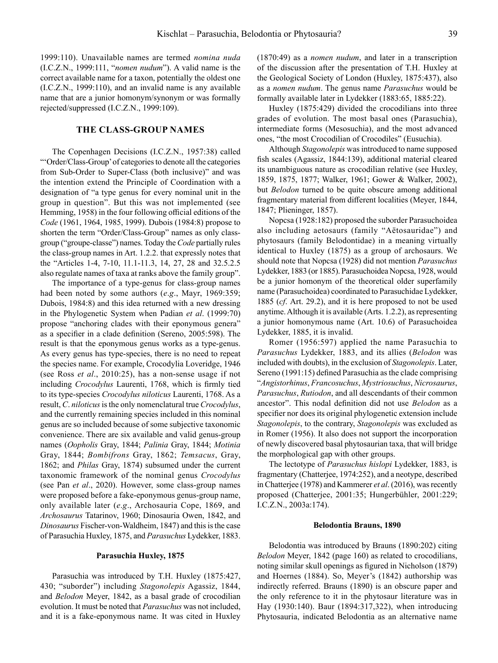1999:110). Unavailable names are termed *nomina nuda* (I.C.Z.N., 1999:111, "*nomen nudum*"). A valid name is the correct available name for a taxon, potentially the oldest one (I.C.Z.N., 1999:110), and an invalid name is any available name that are a junior homonym/synonym or was formally rejected/suppressed (I.C.Z.N., 1999:109).

#### **THE CLASS-GROUP NAMES**

The Copenhagen Decisions (I.C.Z.N., 1957:38) called "'Order/Class-Group' of categories to denote all the categories from Sub-Order to Super-Class (both inclusive)" and was the intention extend the Principle of Coordination with a designation of "a type genus for every nominal unit in the group in question". But this was not implemented (see Hemming, 1958) in the four following official editions of the *Code* (1961, 1964, 1985, 1999). Dubois (1984:8) propose to shorten the term "Order/Class-Group" names as only classgroup ("groupe-classe") names. Today the *Code* partially rules the class-group names in Art. 1.2.2. that expressly notes that the "Articles 1-4, 7-10, 11.1-11.3, 14, 27, 28 and 32.5.2.5 also regulate names of taxa at ranks above the family group".

The importance of a type-genus for class-group names had been noted by some authors (*e*.*g*., Mayr, 1969:359; Dubois, 1984:8) and this idea returned with a new dressing in the Phylogenetic System when Padian *et al*. (1999:70) propose "anchoring clades with their eponymous genera" as a specifier in a clade definition (Sereno, 2005:598). The result is that the eponymous genus works as a type-genus. As every genus has type-species, there is no need to repeat the species name. For example, Crocodylia Loveridge, 1946 (see Ross *et al*., 2010:25), has a non-sense usage if not including *Crocodylus* Laurenti, 1768, which is firmly tied to its type-species *Crocodylus niloticus* Laurenti, 1768. As a result, *C*. *niloticus* is the only nomenclatural true *Crocodylus*, and the currently remaining species included in this nominal genus are so included because of some subjective taxonomic convenience. There are six available and valid genus-group names (*Oopholis* Gray, 1844; *Palinia* Gray, 1844; *Motinia* Gray, 1844; *Bombifrons* Gray, 1862; *Temsacus*, Gray, 1862; and *Philas* Gray, 1874) subsumed under the current taxonomic framework of the nominal genus *Crocodylus* (see Pan *et al*., 2020). However, some class-group names were proposed before a fake-eponymous genus-group name, only available later (*e*.*g*., Archosauria Cope, 1869, and *Archosaurus* Tatarinov, 1960; Dinosauria Owen, 1842, and *Dinosaurus* Fischer-von-Waldheim, 1847) and this is the case of Parasuchia Huxley, 1875, and *Parasuchus* Lydekker, 1883.

#### **Parasuchia Huxley, 1875**

Parasuchia was introduced by T.H. Huxley (1875:427, 430; "suborder") including *Stagonolepis* Agassiz, 1844, and *Belodon* Meyer, 1842, as a basal grade of crocodilian evolution. It must be noted that *Parasuchus* was not included, and it is a fake-eponymous name. It was cited in Huxley (1870:49) as a *nomen nudum*, and later in a transcription of the discussion after the presentation of T.H. Huxley at the Geological Society of London (Huxley, 1875:437), also as a *nomen nudum*. The genus name *Parasuchus* would be formally available later in Lydekker (1883:65, 1885:22).

Huxley (1875:429) divided the crocodilians into three grades of evolution. The most basal ones (Parasuchia), intermediate forms (Mesosuchia), and the most advanced ones, "the most Crocodilian of Crocodiles" (Eusuchia).

Although *Stagonolepis* was introduced to name supposed fish scales (Agassiz, 1844:139), additional material cleared its unambiguous nature as crocodilian relative (see Huxley, 1859, 1875, 1877; Walker, 1961; Gower & Walker, 2002), but *Belodon* turned to be quite obscure among additional fragmentary material from different localities (Meyer, 1844, 1847; Plieninger, 1857).

Nopcsa (1928:182) proposed the suborder Parasuchoidea also including aetosaurs (family "Aëtosauridae") and phytosaurs (family Belodontidae) in a meaning virtually identical to Huxley (1875) as a group of archosaurs. We should note that Nopcsa (1928) did not mention *Parasuchus*  Lydekker, 1883 (or 1885). Parasuchoidea Nopcsa, 1928, would be a junior homonym of the theoretical older superfamily name (Parasuchoidea) coordinated to Parasuchidae Lydekker, 1885 (*cf*. Art. 29.2), and it is here proposed to not be used anytime. Although it is available (Arts. 1.2.2), as representing a junior homonymous name (Art. 10.6) of Parasuchoidea Lydekker, 1885, it is invalid.

Romer (1956:597) applied the name Parasuchia to *Parasuchus* Lydekker, 1883, and its allies (*Belodon* was included with doubts), in the exclusion of *Stagonolepis*. Later, Sereno (1991:15) defined Parasuchia as the clade comprising "*Angistorhinus*, *Francosuchus*, *Mystriosuchus*, *Nicrosaurus*, *Parasuchus*, *Rutiodon*, and all descendants of their common ancestor". This nodal definition did not use *Belodon* as a specifier nor does its original phylogenetic extension include *Stagonolepis*, to the contrary, *Stagonolepis* was excluded as in Romer (1956). It also does not support the incorporation of newly discovered basal phytosaurian taxa, that will bridge the morphological gap with other groups.

The lectotype of *Parasuchus hislopi* Lydekker, 1883, is fragmentary (Chatterjee, 1974:252), and a neotype, described in Chatterjee (1978) and Kammerer *et al*. (2016), was recently proposed (Chatterjee, 2001:35; Hungerbühler, 2001:229; I.C.Z.N., 2003a:174).

#### **Belodontia Brauns, 1890**

Belodontia was introduced by Brauns (1890:202) citing *Belodon* Meyer, 1842 (page 160) as related to crocodilians, noting similar skull openings as figured in Nicholson (1879) and Hoernes (1884). So, Meyer's (1842) authorship was indirectly referred. Brauns (1890) is an obscure paper and the only reference to it in the phytosaur literature was in Hay (1930:140). Baur (1894:317,322), when introducing Phytosauria, indicated Belodontia as an alternative name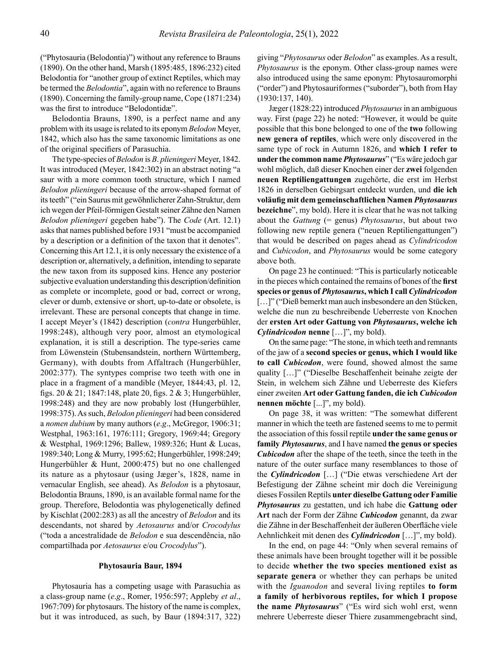("Phytosauria (Belodontia)") without any reference to Brauns (1890). On the other hand, Marsh (1895:485, 1896:232) cited Belodontia for "another group of extinct Reptiles, which may be termed the *Belodontia*", again with no reference to Brauns (1890). Concerning the family-group name, Cope (1871:234) was the first to introduce "Belodontidæ".

Belodontia Brauns, 1890, is a perfect name and any problem with its usage is related to its eponym *Belodon* Meyer, 1842, which also has the same taxonomic limitations as one of the original specifiers of Parasuchia.

The type-species of *Belodon* is *B*. *plieningeri* Meyer, 1842. It was introduced (Meyer, 1842:302) in an abstract noting "a saur with a more common tooth structure, which I named *Belodon plieningeri* because of the arrow-shaped format of its teeth" ("ein Saurus mit gewöhnlicherer Zahn-Struktur, dem ich wegen der Pfeil-förmigen Gestalt seiner Zähne den Namen *Belodon plieningeri* gegeben habe"). The *Code* (Art. 12.1) asks that names published before 1931 "must be accompanied by a description or a definition of the taxon that it denotes". Concerning this Art 12.1, it is only necessary the existence of a description or, alternatively, a definition, intending to separate the new taxon from its supposed kins. Hence any posterior subjective evaluation understanding this description/definition as complete or incomplete, good or bad, correct or wrong, clever or dumb, extensive or short, up-to-date or obsolete, is irrelevant. These are personal concepts that change in time. I accept Meyer's (1842) description (*contra* Hungerbühler, 1998:248), although very poor, almost an etymological explanation, it is still a description. The type-series came from Löwenstein (Stubensandstein, northern Württemberg, Germany), with doubts from Affaltrach (Hungerbühler, 2002:377). The syntypes comprise two teeth with one in place in a fragment of a mandible (Meyer, 1844:43, pl. 12, figs. 20 & 21; 1847:148, plate 20, figs. 2 & 3; Hungerbühler, 1998:248) and they are now probably lost (Hungerbühler, 1998:375). As such, *Belodon plieningeri* had been considered a *nomen dubium* by many authors (*e*.*g*., McGregor, 1906:31; Westphal, 1963:161, 1976:111; Gregory, 1969:44; Gregory & Westphal, 1969:1296; Ballew, 1989:326; Hunt & Lucas, 1989:340; Long & Murry, 1995:62; Hungerbühler, 1998:249; Hungerbühler & Hunt, 2000:475) but no one challenged its nature as a phytosaur (using Jæger's, 1828, name in vernacular English, see ahead). As *Belodon* is a phytosaur, Belodontia Brauns, 1890, is an available formal name for the group. Therefore, Belodontia was phylogenetically defined by Kischlat (2002:283) as all the ancestry of *Belodon* and its descendants, not shared by *Aetosaurus* and/or *Crocodylus*  ("toda a ancestralidade de *Belodon* e sua descendência, não compartilhada por *Aetosaurus* e/ou *Crocodylus*").

#### **Phytosauria Baur, 1894**

Phytosauria has a competing usage with Parasuchia as a class-group name (*e*.*g*., Romer, 1956:597; Appleby *et al*., 1967:709) for phytosaurs. The history of the name is complex, but it was introduced, as such, by Baur (1894:317, 322)

giving "*Phytosaurus* oder *Belodon*" as examples. As a result, *Phytosaurus* is the eponym. Other class-group names were also introduced using the same eponym: Phytosauromorphi ("order") and Phytosauriformes ("suborder"), both from Hay (1930:137, 140).

Jæger (1828:22) introduced *Phytosaurus* in an ambiguous way. First (page 22) he noted: "However, it would be quite possible that this bone belonged to one of the **two** following **new genera of reptiles**, which were only discovered in the same type of rock in Autumn 1826, and **which I refer to under the common name** *Phytosaurus*" ("Es wäre jedoch gar wohl möglich, daß dieser Knochen einer der **zwei** folgenden **neuen Reptiliengattungen** zugehörte, die erst im Herbst 1826 in derselben Gebirgsart entdeckt wurden, und **die ich voläufig mit dem gemeinschaftlichen Namen** *Phytosaurus* **bezeichne**", my bold). Here it is clear that he was not talking about the *Gattung* (= genus) *Phytosaurus*, but about two following new reptile genera ("neuen Reptiliengattungen") that would be described on pages ahead as *Cylindricodon* and *Cubicodon*, and *Phytosaurus* would be some category above both.

On page 23 he continued: "This is particularly noticeable in the pieces which contained the remains of bones of the **first species or genus of** *Phytosaurus***, which I call** *Cylindricodon* [...]" ("Dieß bemerkt man auch insbesondere an den Stücken, welche die nun zu beschreibende Ueberreste von Knochen der **ersten Art oder Gattung von** *Phytosaurus***, welche ich**  *Cylindricodon* **nenne** […]", my bold).

On the same page: "The stone, in which teeth and remnants of the jaw of a **second species or genus, which I would like to call** *Cubicodon*, were found, showed almost the same quality […]" ("Dieselbe Beschaffenheit beinahe zeigte der Stein, in welchem sich Zähne und Ueberreste des Kiefers einer zweiten **Art oder Gattung fanden, die ich** *Cubicodon* **nennen möchte** [...]", my bold).

On page 38, it was written: "The somewhat different manner in which the teeth are fastened seems to me to permit the association of this fossil reptile **under the same genus or family** *Phytosaurus*, and I have named **the genus or species**  *Cubicodon* after the shape of the teeth, since the teeth in the nature of the outer surface many resemblances to those of the *Cylindricodon* […] ("Die etwas verschiedene Art der Befestigung der Zähne scheint mir doch die Vereinigung dieses Fossilen Reptils **unter dieselbe Gattung oder Familie**  *Phytosaurus* zu gestatten, und ich habe die **Gattung oder Art** nach der Form der Zähne *Cubicodon* genannt, da zwar die Zähne in der Beschaffenheit der äußeren Oberfläche viele Aehnlichkeit mit denen des *Cylindricodon* […]", my bold).

In the end, on page 44: "Only when several remains of these animals have been brought together will it be possible to decide **whether the two species mentioned exist as separate genera** or whether they can perhaps be united with the *Iguanodon* and several living reptiles **to form a family of herbivorous reptiles, for which I propose the name** *Phytosaurus*" ("Es wird sich wohl erst, wenn mehrere Ueberreste dieser Thiere zusammengebracht sind,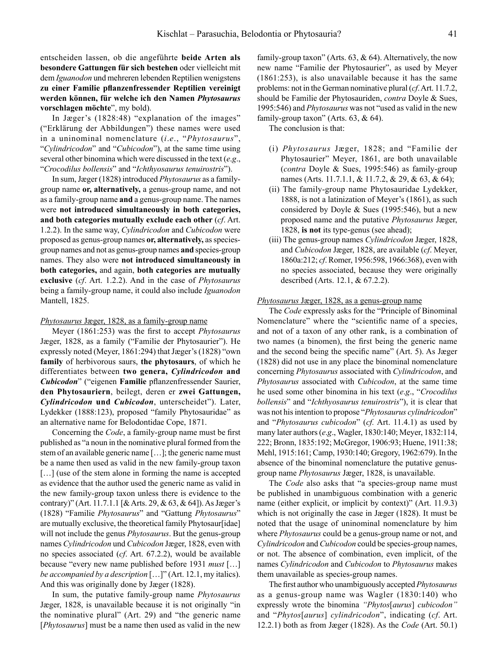entscheiden lassen, ob die angeführte **beide Arten als besondere Gattungen für sich bestehen** oder vielleicht mit dem *Iguanodon* und mehreren lebenden Reptilien wenigstens **zu einer Familie pflanzenfressender Reptilien vereinigt werden können, für welche ich den Namen** *Phytosaurus* **vorschlagen möchte**", my bold).

In Jæger's (1828:48) "explanation of the images" ("Erklärung der Abbildungen") these names were used in a uninominal nomenclature (*i*.*e*., "*Phytosaurus*", "*Cylindricodon*" and "*Cubicodon*"), at the same time using several other binomina which were discussed in the text (*e*.*g*., "*Crocodilus bollensis*" and "*Ichthyosaurus tenuirostris*").

In sum, Jæger (1828) introduced *Phytosaurus* as a familygroup name **or, alternatively,** a genus-group name, and not as a family-group name **and** a genus-group name. The names were **not introduced simultaneously in both categories, and both categories mutually exclude each other** (*cf*. Art. 1.2.2). In the same way, *Cylindricodon* and *Cubicodon* were proposed as genus-group names **or, alternatively,** as speciesgroup names and not as genus-group names **and** species-group names. They also were **not introduced simultaneously in both categories,** and again, **both categories are mutually exclusive** (*cf*. Art. 1.2.2). And in the case of *Phytosaurus* being a family-group name, it could also include *Iguanodon* Mantell, 1825.

#### *Phytosaurus* Jæger, 1828, as a family-group name

Meyer (1861:253) was the first to accept *Phytosaurus* Jæger, 1828, as a family ("Familie der Phytosaurier"). He expressly noted (Meyer, 1861:294) that Jæger's (1828) "own **family** of herbivorous saurs, **the phytosaurs**, of which he differentiates between **two genera,** *Cylindricodon* **and**  *Cubicodon*" ("eigenen **Familie** pflanzenfressender Saurier, **den Phytosauriern**, beilegt, deren er **zwei Gattungen,**  *Cylindricodon* **und** *Cubicodon*, unterscheidet"). Later, Lydekker (1888:123), proposed "family Phytosauridae" as an alternative name for Belodontidae Cope, 1871.

Concerning the *Code*, a family-group name must be first published as "a noun in the nominative plural formed from the stem of an available generic name […]; the generic name must be a name then used as valid in the new family-group taxon [...] (use of the stem alone in forming the name is accepted as evidence that the author used the generic name as valid in the new family-group taxon unless there is evidence to the contrary)" (Art. 11.7.1.1 [& Arts. 29, & 63, & 64]). As Jæger's (1828) "Familie *Phytosaurus*" and "Gattung *Phytosaurus*" are mutually exclusive, the theoretical family Phytosaur[idae] will not include the genus *Phytosaurus*. But the genus-group names *Cylindricodon* und *Cubicodon* Jæger, 1828, even with no species associated (*cf*. Art. 67.2.2), would be available because "every new name published before 1931 *must* […] *be accompanied by a description* […]" (Art. 12.1, my italics). And this was originally done by Jæger (1828).

In sum, the putative family-group name *Phytosaurus* Jæger, 1828, is unavailable because it is not originally "in the nominative plural" (Art. 29) and "the generic name [*Phytosaurus*] must be a name then used as valid in the new family-group taxon" (Arts.  $63, & 64$ ). Alternatively, the now new name "Familie der Phytosaurier", as used by Meyer (1861:253), is also unavailable because it has the same problems: not in the German nominative plural (*cf*. Art. 11.7.2, should be Familie der Phytosauriden, *contra* Doyle & Sues, 1995:546) and *Phytosaurus* was not "used as valid in the new family-group taxon" (Arts. 63, & 64).

The conclusion is that:

- (i) *Phytosaurus* Jæger, 1828; and "Familie der Phytosaurier" Meyer, 1861, are both unavailable (*contra* Doyle & Sues, 1995:546) as family-group names (Arts. 11.7.1.1, & 11.7.2, & 29, & 63, & 64);
- (ii) The family-group name Phytosauridae Lydekker, 1888, is not a latinization of Meyer's (1861), as such considered by Doyle & Sues (1995:546), but a new proposed name and the putative *Phytosaurus* Jæger, 1828, **is not** its type-genus (see ahead);
- (iii) The genus-group names *Cylindricodon* Jæger, 1828, and *Cubicodon* Jæger, 1828, are available (*cf*. Meyer, 1860a:212; *cf*. Romer, 1956:598, 1966:368), even with no species associated, because they were originally described (Arts. 12.1, & 67.2.2).

#### *Phytosaurus* Jæger, 1828, as a genus-group name

The *Code* expressly asks for the "Principle of Binominal Nomenclature" where the "scientific name of a species, and not of a taxon of any other rank, is a combination of two names (a binomen), the first being the generic name and the second being the specific name" (Art. 5). As Jæger (1828) did not use in any place the binominal nomenclature concerning *Phytosaurus* associated with *Cylindricodon*, and *Phytosaurus* associated with *Cubicodon*, at the same time he used some other binomina in his text (*e*.*g*., "*Crocodilus bollensis*" and "*Ichthyosaurus tenuirostris*"), it is clear that was not his intention to propose "*Phytosaurus cylindricodon*" and "*Phytosaurus cubicodon*" (*cf.* Art. 11.4.1) as used by many later authors (*e*.*g*., Wagler, 1830:140; Meyer, 1832:114, 222; Bronn, 1835:192; McGregor, 1906:93; Huene, 1911:38; Mehl, 1915:161; Camp, 1930:140; Gregory, 1962:679). In the absence of the binominal nomenclature the putative genusgroup name *Phytosaurus* Jæger, 1828, is unavailable.

The *Code* also asks that "a species-group name must be published in unambiguous combination with a generic name (either explicit, or implicit by context)" (Art. 11.9.3) which is not originally the case in Jæger (1828). It must be noted that the usage of uninominal nomenclature by him where *Phytosaurus* could be a genus-group name or not, and *Cylindricodon* and *Cubicodon* could be species-group names, or not. The absence of combination, even implicit, of the names *Cylindricodon* and *Cubicodon* to *Phytosaurus* makes them unavailable as species-group names.

The first author who unambiguously accepted *Phytosaurus* as a genus-group name was Wagler (1830:140) who expressly wrote the binomina *"Phytos*[*aurus*] *cubicodon"* and "*Phytos*[*aurus*] *cylindricodon*", indicating (*cf*. Art. 12.2.1) both as from Jæger (1828). As the *Code* (Art. 50.1)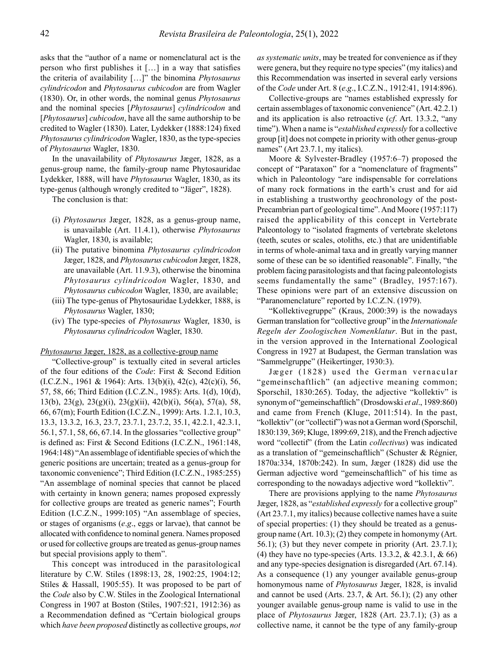asks that the "author of a name or nomenclatural act is the person who first publishes it […] in a way that satisfies the criteria of availability […]" the binomina *Phytosaurus cylindricodon* and *Phytosaurus cubicodon* are from Wagler (1830). Or, in other words, the nominal genus *Phytosaurus* and the nominal species [*Phytosaurus*] *cylindricodon* and [*Phytosaurus*] *cubicodon*, have all the same authorship to be credited to Wagler (1830). Later, Lydekker (1888:124) fixed *Phytosaurus cylindricodon* Wagler, 1830, as the type-species of *Phytosaurus* Wagler, 1830.

In the unavailability of *Phytosaurus* Jæger, 1828, as a genus-group name, the family-group name Phytosauridae Lydekker, 1888, will have *Phytosaurus* Wagler, 1830, as its type-genus (although wrongly credited to "Jäger", 1828).

The conclusion is that:

- (i) *Phytosaurus* Jæger, 1828, as a genus-group name, is unavailable (Art. 11.4.1), otherwise *Phytosaurus* Wagler, 1830, is available;
- (ii) The putative binomina *Phytosaurus cylindricodon* Jæger, 1828, and *Phytosaurus cubicodon* Jæger, 1828, are unavailable (Art. 11.9.3), otherwise the binomina *Phytosaurus cylindricodon* Wagler, 1830, and *Phytosaurus cubicodon* Wagler, 1830, are available;
- (iii) The type-genus of Phytosauridae Lydekker, 1888, is *Phytosaurus* Wagler, 1830;
- (iv) The type-species of *Phytosaurus* Wagler, 1830, is *Phytosaurus cylindricodon* Wagler, 1830.

## *Phytosaurus* Jæger, 1828, as a collective-group name

"Collective-group" is textually cited in several articles of the four editions of the *Code*: First & Second Edition  $(L.C.Z.N., 1961 & 1964)$ : Arts. 13(b)(i), 42(c), 42(c)(i), 56, 57, 58, 66; Third Edition (I.C.Z.N., 1985): Arts. 1(d), 10(d), 13(b), 23(g), 23(g)(i), 23(g)(ii), 42(b)(i), 56(a), 57(a), 58, 66, 67(m); Fourth Edition (I.C.Z.N., 1999): Arts. 1.2.1, 10.3, 13.3, 13.3.2, 16.3, 23.7, 23.7.1, 23.7.2, 35.1, 42.2.1, 42.3.1, 56.1, 57.1, 58, 66, 67.14. In the glossaries "collective group" is defined as: First & Second Editions (I.C.Z.N., 1961:148, 1964:148) "An assemblage of identifiable species of which the generic positions are uncertain; treated as a genus-group for taxonomic convenience"; Third Edition (I.C.Z.N., 1985:255) "An assemblage of nominal species that cannot be placed with certainty in known genera; names proposed expressly for collective groups are treated as generic names"; Fourth Edition (I.C.Z.N., 1999:105) "An assemblage of species, or stages of organisms (*e*.*g*., eggs or larvae), that cannot be allocated with confidence to nominal genera. Names proposed or used for collective groups are treated as genus-group names but special provisions apply to them".

This concept was introduced in the parasitological literature by C.W. Stiles (1898:13, 28, 1902:25, 1904:12; Stiles & Hassall, 1905:55). It was proposed to be part of the *Code* also by C.W. Stiles in the Zoological International Congress in 1907 at Boston (Stiles, 1907:521, 1912:36) as a Recommendation defined as "Certain biological groups which *have been proposed* distinctly as collective groups, *not*  *as systematic units*, may be treated for convenience as if they were genera, but they require no type species" (my italics) and this Recommendation was inserted in several early versions of the *Code* under Art. 8 (*e*.*g*., I.C.Z.N., 1912:41, 1914:896).

Collective-groups are "names established expressly for certain assemblages of taxonomic convenience" (Art. 42.2.1) and its application is also retroactive (*cf*. Art. 13.3.2, "any time"). When a name is "*established expressly* for a collective group [it] does not compete in priority with other genus-group names" (Art 23.7.1, my italics).

Moore & Sylvester-Bradley (1957:6–7) proposed the concept of "Parataxon" for a "nomenclature of fragments" which in Paleontology "are indispensable for correlations of many rock formations in the earth's crust and for aid in establishing a trustworthy geochronology of the post-Precambrian part of geological time". And Moore (1957:117) raised the applicability of this concept in Vertebrate Paleontology to "isolated fragments of vertebrate skeletons (teeth, scutes or scales, otoliths, etc.) that are unidentifiable in terms of whole-animal taxa and in greatly varying manner some of these can be so identified reasonable". Finally, "the problem facing parasitologists and that facing paleontologists seems fundamentally the same" (Bradley, 1957:167). These opinions were part of an extensive discussion on "Paranomenclature" reported by I.C.Z.N. (1979).

"Kollektivegruppe" (Kraus, 2000:39) is the nowadays German translation for "collective group" in the *Internationale Regeln der Zoologischen Nomenklatur*. But in the past, in the version approved in the International Zoological Congress in 1927 at Budapest, the German translation was "Sammelgruppe" (Heikertinger, 1930:3).

Jæger (1828) used the German vernacular "gemeinschaftlich" (an adjective meaning common; Sporschil, 1830:265). Today, the adjective "kollektiv" is synonym of "gemeinschaftlich" (Drosdowski *et al*., 1989:860) and came from French (Kluge, 2011:514). In the past, "kollektiv" (or "collectif") was not a German word (Sporschil, 1830:139, 369; Kluge, 1899:69, 218), and the French adjective word "collectif" (from the Latin *collectivus*) was indicated as a translation of "gemeinschaftlich" (Schuster & Régnier, 1870a:334, 1870b:242). In sum, Jæger (1828) did use the German adjective word "gemeinschaftlich" of his time as corresponding to the nowadays adjective word "kollektiv".

There are provisions applying to the name *Phytosaurus* Jæger, 1828, as "*established expressly* for a collective group" (Art 23.7.1, my italics) because collective names have a suite of special properties: (1) they should be treated as a genusgroup name (Art. 10.3); (2) they compete in homonymy (Art. 56.1); (3) but they never compete in priority (Art. 23.7.1); (4) they have no type-species (Arts. 13.3.2, & 42.3.1, & 66) and any type-species designation is disregarded (Art. 67.14). As a consequence (1) any younger available genus-group homonymous name of *Phytosaurus* Jæger, 1828, is invalid and cannot be used (Arts. 23.7, & Art. 56.1); (2) any other younger available genus-group name is valid to use in the place of *Phytosaurus* Jæger, 1828 (Art. 23.7.1); (3) as a collective name, it cannot be the type of any family-group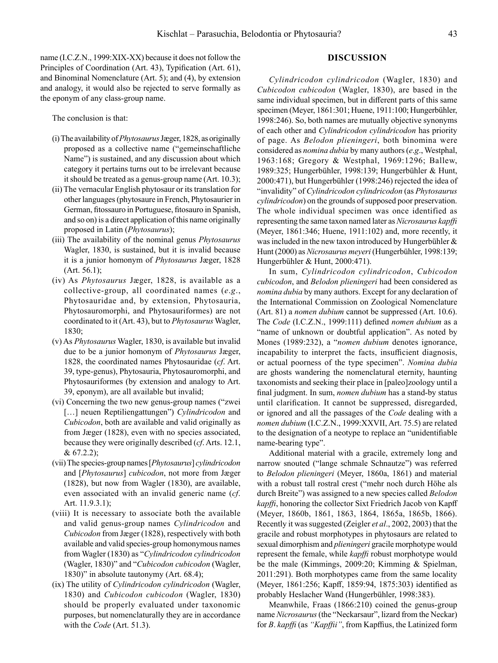name (I.C.Z.N., 1999:XIX-XX) because it does not follow the Principles of Coordination (Art. 43), Typification (Art. 61), and Binominal Nomenclature (Art. 5); and (4), by extension and analogy, it would also be rejected to serve formally as the eponym of any class-group name.

The conclusion is that:

- (i) The availability of *Phytosaurus* Jæger, 1828, as originally proposed as a collective name ("gemeinschaftliche Name") is sustained, and any discussion about which category it pertains turns out to be irrelevant because it should be treated as a genus-group name (Art. 10.3);
- (ii) The vernacular English phytosaur or its translation for other languages (phytosaure in French, Phytosaurier in German, fitossauro in Portuguese, fitosauro in Spanish, and so on) is a direct application of this name originally proposed in Latin (*Phytosaurus*);
- (iii) The availability of the nominal genus *Phytosaurus* Wagler, 1830, is sustained, but it is invalid because it is a junior homonym of *Phytosaurus* Jæger, 1828 (Art. 56.1);
- (iv) As *Phytosaurus* Jæger, 1828, is available as a collective-group, all coordinated names (*e*.*g*., Phytosauridae and, by extension, Phytosauria, Phytosauromorphi, and Phytosauriformes) are not coordinated to it (Art. 43), but to *Phytosaurus* Wagler, 1830;
- (v) As *Phytosaurus* Wagler, 1830, is available but invalid due to be a junior homonym of *Phytosaurus* Jæger, 1828, the coordinated names Phytosauridae (*cf*. Art. 39, type-genus), Phytosauria, Phytosauromorphi, and Phytosauriformes (by extension and analogy to Art. 39, eponym), are all available but invalid;
- (vi) Concerning the two new genus-group names ("zwei [...] neuen Reptiliengattungen") *Cylindricodon* and *Cubicodon*, both are available and valid originally as from Jæger (1828), even with no species associated, because they were originally described (*cf*. Arts. 12.1, & 67.2.2);
- (vii) The species-group names [*Phytosaurus*] *cylindricodon* and [*Phytosaurus*] *cubicodon*, not more from Jæger (1828), but now from Wagler (1830), are available, even associated with an invalid generic name (*cf*. Art. 11.9.3.1);
- (viii) It is necessary to associate both the available and valid genus-group names *Cylindricodon* and *Cubicodon* from Jæger (1828), respectively with both available and valid species-group homonymous names from Wagler (1830) as "*Cylindricodon cylindricodon* (Wagler, 1830)" and "*Cubicodon cubicodon* (Wagler, 1830)" in absolute tautonymy (Art. 68.4);
- (ix) The utility of *Cylindricodon cylindricodon* (Wagler, 1830) and *Cubicodon cubicodon* (Wagler, 1830) should be properly evaluated under taxonomic purposes, but nomenclaturally they are in accordance with the *Code* (Art. 51.3).

### **DISCUSSION**

*Cylindricodon cylindricodon* (Wagler, 1830) and *Cubicodon cubicodon* (Wagler, 1830), are based in the same individual specimen, but in different parts of this same specimen (Meyer, 1861:301; Huene, 1911:100; Hungerbühler, 1998:246). So, both names are mutually objective synonyms of each other and *Cylindricodon cylindricodon* has priority of page. As *Belodon plieningeri*, both binomina were considered as *nomina dubia* by many authors (*e*.*g*., Westphal, 1963:168; Gregory & Westphal, 1969:1296; Ballew, 1989:325; Hungerbühler, 1998:139; Hungerbühler & Hunt, 2000:471), but Hungerbühler (1998:246) rejected the idea of "invalidity" of *Cylindricodon cylindricodon* (as *Phytosaurus cylindricodon*) on the grounds of supposed poor preservation. The whole individual specimen was once identified as representing the same taxon named later as *Nicrosaurus kapffi* (Meyer, 1861:346; Huene, 1911:102) and, more recently, it was included in the new taxon introduced by Hungerbühler & Hunt (2000) as *Nicrosaurus meyeri* (Hungerbühler, 1998:139; Hungerbühler & Hunt, 2000:471).

In sum, *Cylindricodon cylindricodon*, *Cubicodon cubicodon*, and *Belodon plieningeri* had been considered as *nomina dubia* by many authors. Except for any declaration of the International Commission on Zoological Nomenclature (Art. 81) a *nomen dubium* cannot be suppressed (Art. 10.6). The *Code* (I.C.Z.N., 1999:111) defined *nomen dubium* as a "name of unknown or doubtful application". As noted by Mones (1989:232), a "*nomen dubium* denotes ignorance, incapability to interpret the facts, insufficient diagnosis, or actual poorness of the type specimen". *Nomina dubia* are ghosts wandering the nomenclatural eternity, haunting taxonomists and seeking their place in [paleo]zoology until a final judgment. In sum, *nomen dubium* has a stand-by status until clarification. It cannot be suppressed, disregarded, or ignored and all the passages of the *Code* dealing with a *nomen dubium* (I.C.Z.N., 1999:XXVII, Art. 75.5) are related to the designation of a neotype to replace an "unidentifiable name-bearing type".

Additional material with a gracile, extremely long and narrow snouted ("lange schmale Schnautze") was referred to *Belodon plieningeri* (Meyer, 1860a, 1861) and material with a robust tall rostral crest ("mehr noch durch Höhe als durch Breite") was assigned to a new species called *Belodon kapffi*, honoring the collector Sixt Friedrich Jacob von Kapff (Meyer, 1860b, 1861, 1863, 1864, 1865a, 1865b, 1866). Recently it was suggested (Zeigler *et al*., 2002, 2003) that the gracile and robust morphotypes in phytosaurs are related to sexual dimorphism and *plieningeri* gracile morphotype would represent the female, while *kapffi* robust morphotype would be the male (Kimmings, 2009:20; Kimming & Spielman, 2011:291). Both morphotypes came from the same locality (Meyer, 1861:256; Kapff, 1859:94, 1875:303) identified as probably Heslacher Wand (Hungerbühler, 1998:383).

Meanwhile, Fraas (1866:210) coined the genus-group name *Nicrosaurus* (the "Neckarsaur", lizard from the Neckar) for *B*. *kapffi* (as *"Kapffii"*, from Kapffius, the Latinized form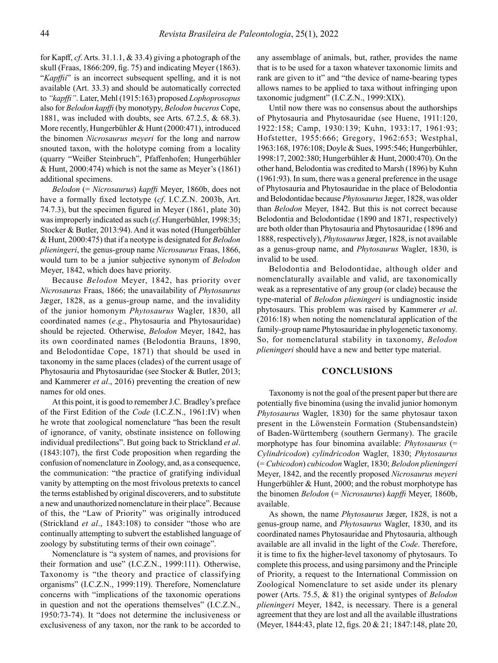for Kapff, *cf*. Arts. 31.1.1, & 33.4) giving a photograph of the skull (Fraas, 1866:209, fig. 75) and indicating Meyer (1863). "*Kapffii*" is an incorrect subsequent spelling, and it is not available (Art. 33.3) and should be automatically corrected to *"kapffi"*. Later, Mehl (1915:163) proposed *Lophoprosopus* also for *Belodon kapffi* (by monotypy, *Belodon buceros* Cope, 1881, was included with doubts, see Arts. 67.2.5, & 68.3). More recently, Hungerbühler & Hunt (2000:471), introduced the binomen *Nicrosaurus meyeri* for the long and narrow snouted taxon, with the holotype coming from a locality (quarry "Weißer Steinbruch", Pfaffenhofen; Hungerbühler & Hunt, 2000:474) which is not the same as Meyer's (1861) additional specimens.

*Belodon* (= *Nicrosaurus*) *kapffi* Meyer, 1860b, does not have a formally fixed lectotype (*cf*. I.C.Z.N. 2003b, Art. 74.7.3), but the specimen figured in Meyer (1861, plate 30) was improperly indicated as such (*cf*. Hungerbühler, 1998:35; Stocker & Butler, 2013:94). And it was noted (Hungerbühler & Hunt, 2000:475) that if a neotype is designated for *Belodon plieningeri*, the genus-group name *Nicrosaurus* Fraas, 1866, would turn to be a junior subjective synonym of *Belodon* Meyer, 1842, which does have priority.

Because *Belodon* Meyer, 1842, has priority over *Nicrosaurus* Fraas, 1866; the unavailability of *Phytosaurus* Jæger, 1828, as a genus-group name, and the invalidity of the junior homonym *Phytosaurus* Wagler, 1830, all coordinated names (*e*.*g*., Phytosauria and Phytosauridae) should be rejected. Otherwise, *Belodon* Meyer, 1842, has its own coordinated names (Belodontia Brauns, 1890, and Belodontidae Cope, 1871) that should be used in taxonomy in the same places (clades) of the current usage of Phytosauria and Phytosauridae (see Stocker & Butler, 2013; and Kammerer *et al*., 2016) preventing the creation of new names for old ones.

At this point, it is good to remember J.C. Bradley's preface of the First Edition of the *Code* (I.C.Z.N., 1961:IV) when he wrote that zoological nomenclature "has been the result of ignorance, of vanity, obstinate insistence on following individual predilections". But going back to Strickland *et al*. (1843:107), the first Code proposition when regarding the confusion of nomenclature in Zoology, and, as a consequence, the communication: "the practice of gratifying individual vanity by attempting on the most frivolous pretexts to cancel the terms established by original discoverers, and to substitute a new and unauthorized nomenclature in their place". Because of this, the "Law of Priority" was originally introduced (Strickland *et al*., 1843:108) to consider "those who are continually attempting to subvert the established language of zoology by substituting terms of their own coinage".

Nomenclature is "a system of names, and provisions for their formation and use" (I.C.Z.N., 1999:111). Otherwise, Taxonomy is "the theory and practice of classifying organisms" (I.C.Z.N., 1999:119). Therefore, Nomenclature concerns with "implications of the taxonomic operations in question and not the operations themselves" (I.C.Z.N., 1950:73-74). It "does not determine the inclusiveness or exclusiveness of any taxon, nor the rank to be accorded to

any assemblage of animals, but, rather, provides the name that is to be used for a taxon whatever taxonomic limits and rank are given to it" and "the device of name-bearing types allows names to be applied to taxa without infringing upon taxonomic judgment" (I.C.Z.N., 1999:XIX).

Until now there was no consensus about the authorships of Phytosauria and Phytosauridae (see Huene, 1911:120, 1922:158; Camp, 1930:139; Kuhn, 1933:17, 1961:93; Hofstetter, 1955:666; Gregory, 1962:653; Westphal, 1963:168, 1976:108; Doyle & Sues, 1995:546; Hungerbühler, 1998:17, 2002:380; Hungerbühler & Hunt, 2000:470). On the other hand, Belodontia was credited to Marsh (1896) by Kuhn (1961:93). In sum, there was a general preference in the usage of Phytosauria and Phytosauridae in the place of Belodontia and Belodontidae because *Phytosaurus* Jæger, 1828, was older than *Belodon* Meyer, 1842. But this is not correct because Belodontia and Belodontidae (1890 and 1871, respectively) are both older than Phytosauria and Phytosauridae (1896 and 1888, respectively), *Phytosaurus* Jæger, 1828, is not available as a genus-group name, and *Phytosaurus* Wagler, 1830, is invalid to be used.

Belodontia and Belodontidae, although older and nomenclaturally available and valid, are taxonomically weak as a representative of any group (or clade) because the type-material of *Belodon plieningeri* is undiagnostic inside phytosaurs. This problem was raised by Kammerer *et al*. (2016:18) when noting the nomenclatural application of the family-group name Phytosauridae in phylogenetic taxonomy. So, for nomenclatural stability in taxonomy, *Belodon plieningeri* should have a new and better type material.

# **CONCLUSIONS**

Taxonomy is not the goal of the present paper but there are potentially five binomina (using the invalid junior homonym *Phytosaurus* Wagler, 1830) for the same phytosaur taxon present in the Löwenstein Formation (Stubensandstein) of Baden-Württemberg (southern Germany). The gracile morphotype has four binomina available: *Phytosaurus* (= *Cylindricodon*) *cylindricodon* Wagler, 1830; *Phytosaurus* (= *Cubicodon*) *cubicodon* Wagler, 1830; *Belodon plieningeri*  Meyer, 1842, and the recently proposed *Nicrosaurus meyeri*  Hungerbühler & Hunt, 2000; and the robust morphotype has the binomen *Belodon* (= *Nicrosaurus*) *kapffi* Meyer, 1860b, available.

As shown, the name *Phytosaurus* Jæger, 1828, is not a genus-group name, and *Phytosaurus* Wagler, 1830, and its coordinated names Phytosauridae and Phytosauria, although available are all invalid in the light of the *Code*. Therefore, it is time to fix the higher-level taxonomy of phytosaurs. To complete this process, and using parsimony and the Principle of Priority, a request to the International Commission on Zoological Nomenclature to set aside under its plenary power (Arts. 75.5, & 81) the original syntypes of *Belodon plieningeri* Meyer, 1842, is necessary. There is a general agreement that they are lost and all the available illustrations (Meyer, 1844:43, plate 12, figs. 20 & 21; 1847:148, plate 20,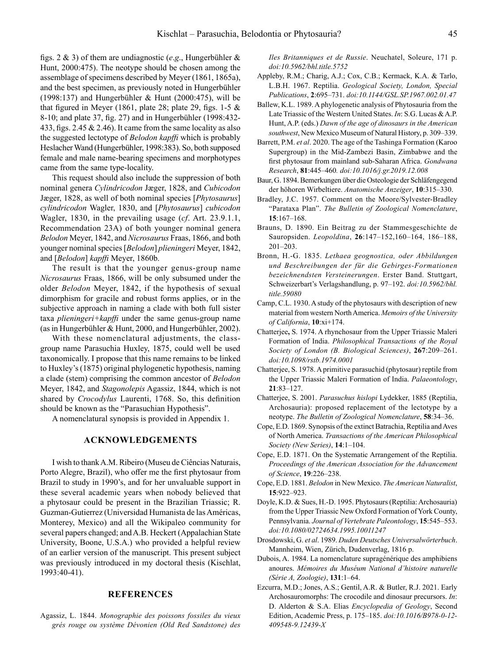figs. 2 & 3) of them are undiagnostic (*e*.*g*., Hungerbühler & Hunt, 2000:475). The neotype should be chosen among the assemblage of specimens described by Meyer (1861, 1865a), and the best specimen, as previously noted in Hungerbühler (1998:137) and Hungerbühler & Hunt (2000:475), will be that figured in Meyer (1861, plate 28; plate 29, figs.  $1-5 \&$ 8-10; and plate 37, fig. 27) and in Hungerbühler (1998:432- 433, figs. 2.45  $& 2.46$ ). It came from the same locality as also the suggested lectotype of *Belodon kapffi* which is probably Heslacher Wand (Hungerbühler, 1998:383). So, both supposed female and male name-bearing specimens and morphotypes came from the same type-locality.

This request should also include the suppression of both nominal genera *Cylindricodon* Jæger, 1828, and *Cubicodon* Jæger, 1828, as well of both nominal species [*Phytosaurus*] *cylindricodon* Wagler, 1830, and [*Phytosaurus*] *cubicodon* Wagler, 1830, in the prevailing usage (*cf*. Art. 23.9.1.1, Recommendation 23A) of both younger nominal genera *Belodon* Meyer, 1842, and *Nicrosaurus* Fraas, 1866, and both younger nominal species [*Belodon*] *plieningeri* Meyer, 1842, and [*Belodon*] *kapffi* Meyer, 1860b.

The result is that the younger genus-group name *Nicrosaurus* Fraas, 1866, will be only subsumed under the older *Belodon* Meyer, 1842, if the hypothesis of sexual dimorphism for gracile and robust forms applies, or in the subjective approach in naming a clade with both full sister taxa *plieningeri+kapffi* under the same genus-group name (as in Hungerbühler & Hunt, 2000, and Hungerbühler, 2002).

With these nomenclatural adjustments, the classgroup name Parasuchia Huxley, 1875, could well be used taxonomically. I propose that this name remains to be linked to Huxley's (1875) original phylogenetic hypothesis, naming a clade (stem) comprising the common ancestor of *Belodon* Meyer, 1842, and *Stagonolepis* Agassiz, 1844, which is not shared by *Crocodylus* Laurenti, 1768. So, this definition should be known as the "Parasuchian Hypothesis".

A nomenclatural synopsis is provided in [Appendix 1.](#page-12-0)

# **ACKNOWLEDGEMENTS**

I wish to thank A.M. Ribeiro (Museu de Ciências Naturais, Porto Alegre, Brazil), who offer me the first phytosaur from Brazil to study in 1990's, and for her unvaluable support in these several academic years when nobody believed that a phytosaur could be present in the Brazilian Triassic; R. Guzman-Gutierrez (Universidad Humanista de las Américas, Monterey, Mexico) and all the Wikipaleo community for several papers changed; and A.B. Heckert (Appalachian State University, Boone, U.S.A.) who provided a helpful review of an earlier version of the manuscript. This present subject was previously introduced in my doctoral thesis (Kischlat, 1993:40-41).

#### **REFERENCES**

Agassiz, L. 1844. *Monographie des poissons fossiles du vieux grés rouge ou système Dévonien (Old Red Sandstone) des*  *Iles Britanniques et de Russie*. Neuchatel, Soleure, 171 p. *doi:10.5962/bhl.title.5752*

- Appleby, R.M.; Charig, A.J.; Cox, C.B.; Kermack, K.A. & Tarlo, L.B.H. 1967. Reptilia. *Geological Society, London, Special Publications*, **2**:695–731. *doi:10.1144/GSL.SP.1967.002.01.47*
- Ballew, K.L. 1989. A phylogenetic analysis of Phytosauria from the Late Triassic of the Western United States. *In*: S.G. Lucas & A.P. Hunt, A.P. (eds.) *Dawn of the age of dinosaurs in the American southwest*, New Mexico Museum of Natural History, p. 309–339.
- Barrett, P.M. *et al*. 2020. The age of the Tashinga Formation (Karoo Supergroup) in the Mid-Zambezi Basin, Zimbabwe and the first phytosaur from mainland sub-Saharan Africa. *Gondwana Research*, **81**:445–460*. doi:10.1016/j.gr.2019.12.008*
- Baur, G. 1894. Bemerkungen über die Osteologie der Schläfengegend der höhoren Wirbeltiere. *Anatomische Anzeiger*, **10**:315–330.
- Bradley, J.C. 1957. Comment on the Moore/Sylvester-Bradley "Parataxa Plan". *The Bulletin of Zoological Nomenclature*, **15**:167–168.
- Brauns, D. 1890. Ein Beitrag zu der Stammesgeschichte de Sauropsiden. *Leopoldina*, **26**:147–152,160–164, 186–188, 201–203.
- Bronn, H.-G. 1835. *Lethaea geognostica, oder Abbildungen und Beschreibungen der für die Gebirges-Formationen bezeichnendsten Versteinerungen*. Erster Band. Stuttgart, Schweizerbart's Verlagshandlung, p. 97–192. *doi:10.5962/bhl. title.59080*
- Camp, C.L. 1930. A study of the phytosaurs with description of new material from western North America. *Memoirs of the University of California*, **10**:xi+174.
- Chatterjee**,** S. 1974. A rhynchosaur from the Upper Triassic Maleri Formation of India. *Philosophical Transactions of the Royal Society of London (B. Biological Sciences)*, **267**:209–261. *doi:10.1098/rstb.1974.0001*
- Chatterjee, S. 1978. A primitive parasuchid (phytosaur) reptile from the Upper Triassic Maleri Formation of India. *Palaeontology*, **21**:83–127.
- Chatterjee, S. 2001. *Parasuchus hislopi* Lydekker, 1885 (Reptilia, Archosauria): proposed replacement of the lectotype by a neotype. *The Bulletin of Zoological Nomenclature*, **58**:34–36.
- Cope, E.D. 1869. Synopsis of the extinct Batrachia, Reptilia and Aves of North America. *Transactions of the American Philosophical Society (New Series)*, **14**:1–104.
- Cope, E.D. 1871. On the Systematic Arrangement of the Reptilia. *Proceedings of the American Association for the Advancement of Science*, **19**:226–238.
- Cope, E.D. 1881. *Belodon* in New Mexico. *The American Naturalist*, **15**:922–923.
- Doyle, K.D. & Sues, H.-D. 1995. Phytosaurs (Reptilia: Archosauria) from the Upper Triassic New Oxford Formation of York County, Pennsylvania. *Journal of Vertebrate Paleontology*, **15**:545–553. *doi:10.1080/02724634.1995.10011247*
- Drosdowski, G. *et al*. 1989. *Duden Deutsches Universalwörterbuch*. Mannheim, Wien, Zürich, Dudenverlag, 1816 p.
- Dubois, A. 1984. La nomenclature supragénérique des amphibiens anoures. *Mémoires du Muséum National d'histoire naturelle (Série A, Zoologie)*, **131**:1–64.
- Ezcurra, M.D.; Jones, A.S.; Gentil, A.R. & Butler, R.J. 2021. Early Archosauromorphs: The crocodile and dinosaur precursors. *In*: D. Alderton & S.A. Elias *Encyclopedia of Geology*, Second Edition, Academic Press, p. 175–185. *doi:10.1016/B978-0-12- 409548-9.12439-X*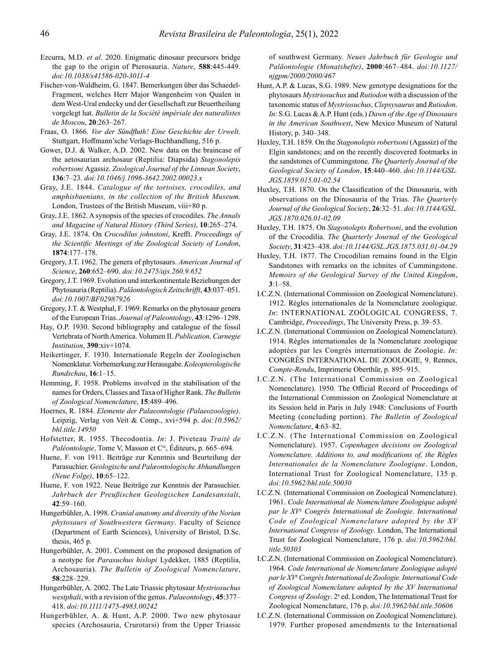- Ezcurra, M.D. *et al*. 2020. Enigmatic dinosaur precursors bridge the gap to the origin of Pterosauria. *Nature*, **588**:445-449. *doi:10.1038/s41586-020-3011-4*
- Fischer-von-Waldheim, G. 1847. Bemerkungen über das Schaedel-Fragment, welches Herr Major Wangenheim von Qualen in dem West-Ural endecky und der Gesellschaft zur Beuertheilung vorgelegt hat. *Bulletin de la Société impériale des naturalistes de Moscou*, **20**:263–267.
- Fraas, O. 1866. *Vor der Sündfluth! Eine Geschichte der Urwelt*. Stuttgart, Hoffmann'sche Verlags-Buchhandlung, 516 p.
- Gower, D.J. & Walker, A.D. 2002. New data on the braincase of the aetosaurian archosaur (Reptilia: Diapsida) *Stagonolepis robertsoni* Agassiz. *Zoological Journal of the Linnean Society*, **136**:7–23. *doi:10.1046/j.1096-3642.2002.00023.x*
- Gray, J.E. 1844. *Catalogue of the tortoises, crocodiles, and amphisbaenians, in the collection of the British Museum.* London, Trustees of the British Museum, viii+80 p.
- Gray, J.E. 1862. A synopsis of the species of crocodiles. *The Annals and Magazine of Natural History (Third Series)*, **10**:265–274.
- Gray, J.E. 1874. On *Crocodilus johnstoni*, Krefft. *Proceedings of the Scientific Meetings of the Zoological Society of London*, **1874**:177–178.
- Gregory, J.T. 1962. The genera of phytosaurs. *American Journal of Science*, **260**:652–690. *doi:10.2475/ajs.260.9.652*
- Gregory, J.T. 1969. Evolution und interkontinentale Beziehungen der Phytosauria (Reptilia). *Paläontologisch Zeitschrifft*, **43**:037–051. *doi:10.1007/BF02987926*
- Gregory, J.T. & Westphal, F. 1969. Remarks on the phytosaur genera of the European Trias. *Journal of Paleontology*, **43**:1296–1298.
- Hay, O.P. 1930. Second bibliography and catalogue of the fossil Vertebrata of North America. Volumen II. *Publication, Carnegie Institution*, **390**:xiv+1074.
- Heikertinger, F. 1930. Internationale Regeln der Zoologischen Nomenklatur. Vorbemerkung zur Herausgabe. *Koleopterologische Rundschau*, **16**:1–15.
- Hemming, F. 1958. Problems involved in the stabilisation of the names for Orders, Classes and Taxa of Higher Rank. *The Bulletin of Zoological Nomenclature*, **15**:489–496.
- Hoernes, R. 1884. *Elemente der Palaeontologie (Palaeozoologie)*. Leipzig, Verlag von Veit & Comp., xvi+594 p. *doi:10.5962/ bhl.title.14950*
- Hofstetter, R. 1955. Thecodontia. *In*: J. Piveteau *Traité de Paléontologie*, Tome V, Masson et C<sup>ie</sup>, Éditeurs, p. 665–694.
- Huene, F. von 1911. Beiträge zur Kenntnis und Beurteilung der Parasuchier. *Geologische und Palæontologische Abhandlungen (Neue Folge)*, **10**:65–122.
- Huene, F. von 1922. Neue Beiträge zur Kenntnis der Parasuchier. *Jahrbuch der Preußischen Geologischen Landesanstalt*, **42**:59–160.
- Hungerbühler, A. 1998. *Cranial anatomy and diversity of the Norian phytosaurs of Southwestern Germany*. Faculty of Science (Department of Earth Sciences), University of Bristol, D.Sc. thesis, 465 p.
- Hungerbühler, A. 2001. Comment on the proposed designation of a neotype for *Parasuchus hislopi* Lydekker, 1885 (Reptilia, Archosauria). *The Bulletin of Zoological Nomenclature*, **58**:228–229.
- Hungerbühler, A. 2002. The Late Triassic phytosaur *Mystriosuchus westphali*, with a revision of the genus. *Palaeontology*, **45**:377– 418. *doi:10.1111/1475-4983.00242*
- Hungerbühler, A. & Hunt, A.P. 2000. Two new phytosaur species (Archosauria, Crurotarsi) from the Upper Triassic

of southwest Germany. *Neues Jahrbuch für Geologie und Paläontologie (Monatshefte)*, **2000**:467–484. *doi:10.1127/ njgpm/2000/2000/467*

- Hunt, A.P. & Lucas, S.G. 1989. New genotype designations for the phytosaurs *Mystriosuchus* and *Rutiodon* with a discussion of the taxonomic status of *Mystriosuchus*, *Clepsysaurus* and *Rutiodon*. *In*: S.G. Lucas & A.P. Hunt (eds.) *Dawn of the Age of Dinosaurs in the American Southwest*, New Mexico Museum of Natural History, p. 340–348.
- Huxley, T.H. 1859. On the *Stagonolepis robertsoni* (Agassiz) of the Elgin sandstones; and on the recently discovered footmarks in the sandstones of Cummingstone. *The Quarterly Journal of the Geological Society of London*, **15**:440–460. *doi:10.1144/GSL. JGS.1859.015.01-02.54*
- Huxley, T.H. 1870. On the Classification of the Dinosauria, with observations on the Dinosauria of the Trias. *The Quarterly Journal of the Geological Society*, **26**:32–51. *doi:10.1144/GSL. JGS.1870.026.01-02.09*
- Huxley, T.H. 1875. On *Stagonolepis Robertsoni*, and the evolution of the Crocodilia. *The Quarterly Journal of the Geological Society*, **31**:423–438. *doi:10.1144/GSL.JGS.1875.031.01-04.29*
- Huxley, T.H. 1877. The Crocodilian remains found in the Elgin Sandstones with remarks on the ichnites of Cummingstone. *Memoirs of the Geological Survey of the United Kingdom*, **3**:1–58.
- I.C.Z.N. (International Commission on Zoological Nomenclature). 1912. Règles internationales de la Nomenclature zoologique. *In*: INTERNATIONAL ZOÖLOGICAL CONGRESS, 7. Cambridge, *Proceedings*, The University Press, p. 39–53.
- I.C.Z.N. (International Commission on Zoological Nomenclature). 1914. Règles internationales de la Nomenclature zoologique adoptées par les Congrès internationaux de Zoologie. *In*: CONGRÈS INTERNATIONAL DE ZOOLOGIE, 9. Rennes, *Compte-Rendu*, Imprimerie Oberthür, p. 895–915.
- I.C.Z.N. (The International Commission on Zoological Nomenclature). 1950. The Official Record of Proceedings of the International Commission on Zoological Nomenclature at its Session held in Paris in July 1948: Conclusions of Fourth Meeting (concluding portion). *The Bulletin of Zoological Nomenclature*, **4**:63–82.
- I.C.Z.N. (The International Commission on Zoological Nomenclature). 1957. *Copenhagen decisions on Zoological Nomenclature. Additions to, and modifications of, the Règles Internationales de la Nomenclature Zoologique*. London, International Trust for Zoological Nomenclature, 135 p. *doi:10.5962/bhl.title.50030*
- I.C.Z.N. (International Commission on Zoological Nomenclature). 1961. *Code International de Nomenclature Zoologique adopté par le XV*<sup>e</sup>  *Congrès International de Zoologie. International Code of Zoological Nomenclature adopted by the XV International Congress of Zoology*. London, The International Trust for Zoological Nomenclature, 176 p. *doi:10.5962/bhl. title.50303*
- I.C.Z.N. (International Commission on Zoological Nomenclature). 1964. *Code International de Nomenclature Zoologique adopté par le XV*<sup>e</sup>  *Congrès International de Zoologie. International Code of Zoological Nomenclature adopted by the XV International*  Congress of Zoology. 2<sup>ª</sup> ed. London, The International Trust for Zoological Nomenclature, 176 p. *doi:10.5962/bhl.title.50606*
- I.C.Z.N. (International Commission on Zoological Nomenclature). 1979. Further proposed amendments to the International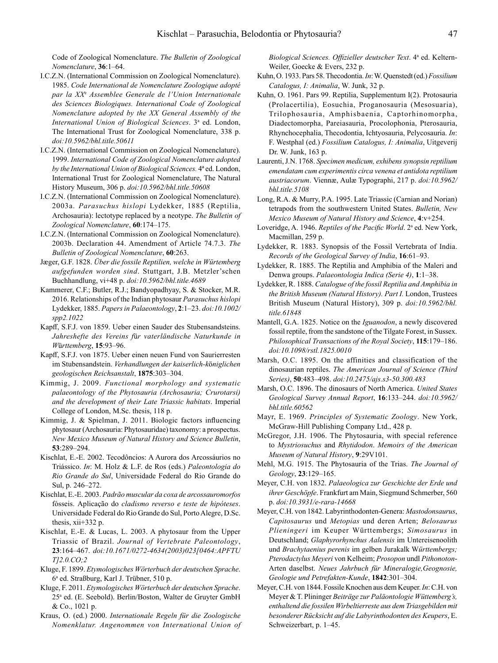Code of Zoological Nomenclature. *The Bulletin of Zoological Nomenclature*, **36**:1–64.

- I.C.Z.N. (International Commission on Zoological Nomenclature). 1985. *Code International de Nomenclature Zoologique adopté par la XX*<sup>e</sup>  *Assemblee Generale de l'Union Internationale des Sciences Biologiques. International Code of Zoological Nomenclature adopted by the XX General Assembly of the*  International Union of Biological Sciences. 3<sup>ª</sup> ed. London, The International Trust for Zoological Nomenclature, 338 p. *doi:10.5962/bhl.title.50611*
- I.C.Z.N. (International Commission on Zoological Nomenclature). 1999. *International Code of Zoological Nomenclature adopted by the International Union of Biological Sciences.* 4ª ed. London, International Trust for Zoological Nomenclature, The Natural History Museum, 306 p. *doi:10.5962/bhl.title.50608*
- I.C.Z.N. (International Commission on Zoological Nomenclature). 2003a. *Parasuchus hislopi* Lydekker, 1885 (Reptilia, Archosauria): lectotype replaced by a neotype. *The Bulletin of Zoological Nomenclature*, **60**:174–175.
- I.C.Z.N. (International Commission on Zoological Nomenclature). 2003b. Declaration 44. Amendment of Article 74.7.3. *The Bulletin of Zoological Nomenclature*, **60**:263.
- Jæger, G.F. 1828. *Über die fossile Reptilien, welche in Würtemberg aufgefunden worden sind*. Stuttgart, J.B. Metzler'schen Buchhandlung, vi+48 p. *doi:10.5962/bhl.title.4689*
- Kammerer, C.F.; Butler, R.J.; Bandyopadhyay, S. & Stocker, M.R. 2016. Relationships of the Indian phytosaur *Parasuchus hislopi* Lydekker, 1885. *Papers in Palaeontology*, **2**:1–23. *doi:10.1002/ spp2.1022*
- Kapff, S.F.J. von 1859. Ueber einen Sauder des Stubensandsteins. *Jahreshefte des Vereins f*ü*r vaterländische Naturkunde in W*ü*rttemberg*, **15**:93–96.
- Kapff, S.F.J. von 1875. Ueber einen neuen Fund von Saurierresten im Stubensandstein. *Verhandlungen der kaiserlich-k*ö*niglichen geologischen Reichsanstalt*, **1875**:303–304.
- Kimmig, J. 2009. *Functional morphology and systematic palaeontology of the Phytosauria (Archosauria; Crurotarsi) and the development of their Late Triassic habitats*. Imperial College of London, M.Sc. thesis, 118 p.
- Kimmig, J. & Spielman, J. 2011. Biologic factors influencing phytosaur (Archosauria: Phytosauridae) taxonomy: a prospectus. *New Mexico Museum of Natural History and Science Bulletin*, **53**:289–294.
- Kischlat, E.-E. 2002. Tecodôncios: A Aurora dos Arcossáurios no Triássico. *In*: M. Holz & L.F. de Ros (eds.) *Paleontologia do Rio Grande do Sul*, Universidade Federal do Rio Grande do Sul, p. 246–272.
- Kischlat, E.-E. 2003. *Padrão muscular da coxa de arcossauromorfos* fósseis. Aplicação do *cladismo reverso e teste de hipóteses*. Universidade Federal do Rio Grande do Sul, Porto Alegre, D.Sc. thesis, xii+332 p.
- Kischlat, E.-E. & Lucas, L. 2003. A phytosaur from the Upper Triassic of Brazil. *Journal of Vertebrate Paleontology*, **23**:164–467. *doi:10.1671/0272-4634(2003)023[0464:APFTU T]2.0.CO;2*
- Kluge, F. 1899. *Etymologisches Wörterbuch der deutschen Sprache*. 6a ed. Straßburg, Karl J. Trübner, 510 p.
- Kluge, F. 2011. *Etymologisches Wörterbuch der deutschen Sprache*. 25a ed. (E. Seebold). Berlin/Boston, Walter de Gruyter GmbH & Co., 1021 p.
- Kraus, O. (ed.) 2000. *Internationale Regeln für die Zoologische Nomenklatur. Angenommen von International Union of*

Biological Sciences. Offizieller deutscher Text. 4<sup>a</sup> ed. Keltern-Weiler, Goecke & Evers, 232 p.

- Kuhn, O. 1933. Pars 58. Thecodontia. *In*: W. Quenstedt (ed.)*Fossilium Catalogus, I: Animalia*, W. Junk, 32 p.
- Kuhn, O. 1961. Pars 99. Reptilia, Supplementum I(2). Protosauria (Prolacertilia), Eosuchia, Proganosauria (Mesosuaria), Trilophosauria, Amphisbaenia, Captorhinomorpha, Diadectomorpha, Pareiasauria, Procolophonia, Pterosauria, Rhynchocephalia, Thecodontia, Ichtyosauria, Pelycosauria. *In*: F. Westphal (ed.) *Fossilium Catalogus, I: Animalia*, Uitgeverij Dr. W. Junk, 163 p.
- Laurenti, J.N. 1768. *Specimen medicum, exhibens synopsin reptilium emendatam cum experimentis circa venena et antidota reptilium austriacorum*. Viennæ, Aulæ Typographi, 217 p. *doi:10.5962/ bhl.title.5108*
- Long, R.A. & Murry, P.A. 1995. Late Triassic (Carnian and Norian) tetrapods from the southwestern United States. *Bulletin, New Mexico Museum of Natural History and Science*, **4**:v+254.
- Loveridge, A. 1946. *Reptiles of the Pacific World*. 2<sup>a</sup> ed. New York, Macmillan, 259 p.
- Lydekker, R. 1883. Synopsis of the Fossil Vertebrata of India. *Records of the Geological Survey of India*, **16**:61–93.
- Lydekker, R. 1885. The Reptilia and Amphibia of the Maleri and Denwa groups. *Palaeontologia Indica (Serie 4)*, **1**:1–38.
- Lydekker, R. 1888. *Catalogue of the fossil Reptilia and Amphibia in the British Museum (Natural History). Part I.* London, Trustees British Museum (Natural History), 309 p. *doi:10.5962/bhl. title.61848*
- Mantell, G.A. 1825. Notice on the *Iguanodon*, a newly discovered fossil reptile, from the sandstone of the Tilgate Forest, in Sussex. *Philosophical Transactions of the Royal Society*, **115**:179–186. *doi:10.1098/rstl.1825.0010*
- Marsh, O.C. 1895. On the affinities and classification of the dinosaurian reptiles. *The American Journal of Science (Third Series)*, **50**:483–498. *doi:10.2475/ajs.s3-50.300.483*
- Marsh, O.C. 1896. The dinosaurs of North America. *United States Geological Survey Annual Report*, **16**:133–244. *doi:10.5962/ bhl.title.60562*
- Mayr, E. 1969. *Principles of Systematic Zoology*. New York, McGraw-Hill Publishing Company Ltd., 428 p.
- McGregor, J.H. 1906. The Phytosauria, with special reference to *Mystriosuchus* and *Rhytidodon*. *Memoirs of the American Museum of Natural History*, **9**:29V101.
- Mehl, M.G. 1915. The Phytosauria of the Trias. *The Journal of Geology*, **23**:129–165.
- Meyer, C.H. von 1832. *Palaeologica zur Geschichte der Erde und ihrer Geschöpfe*. Frankfurt am Main, Siegmund Schmerber, 560 p. *doi:10.3931/e-rara-14668*
- Meyer, C.H. von 1842. Labyrinthodonten-Genera: *Mastodonsaurus*, *Capitosaurus* und *Metopias* und deren Arten; *Belosaurus Plieningeri* im Keuper Württembergs; *Simosaurus* in Deutschland; *Glaphyrorhynchus Aalensis* im Untereisenoolith und *Brachytaenius perenis* im gelben Jurakalk W*ürttembergs; Pterodactylus Meyeri* von Kelheim; *Prosopon* undl *Pithonoton*-Arten daselbst. *Neues Jahrbuch für Mineralogie,Geognosie, Geologie und Petrefakten-Kunde*, **1842**:301–304.
- Meyer, C.H. von 1844. Fossile Knochen aus dem Keuper. *In*: C.H. von Meyer & T. Plininger *Beiträge zur Paläontologie Wüttemberg's, enthaltend die fossilen Wirbeltierreste aus dem Triasgebilden mit besonderer Rücksicht auf die Labyrinthodonten des Keupers*, E. Schweizerbart, p. 1–45.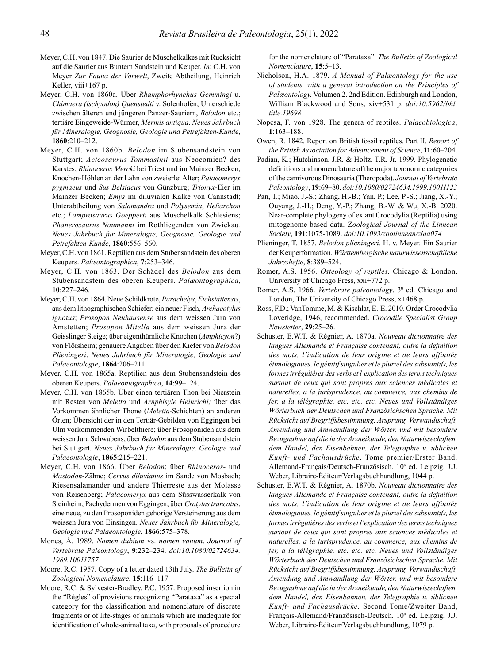- Meyer, C.H. von 1847. Die Saurier de Muschelkalkes mit Rucksicht auf die Saurier aus Buntem Sandstein und Keuper. *In*: C.H. von Meyer *Zur Fauna der Vorwelt*, Zweite Abtheilung, Heinrich Keller, viii+167 p.
- Meyer, C.H. von 1860a. Über *Rhamphorhynchus Gemmingi* u. *Chimaera (lschyodon) Quenstedti* v. Solenhofen; Unterschiede zwischen älteren und jüngeren Panzer-Sauriern, *Belodon* etc.; tertiäre Eingeweide-Würmer, *Mermis antiqua*. *Neues Jahrbuch für Mineralogie, Geognosie, Geologie und Petrefakten-Kunde*, **1860**:210–212.
- Meyer, C.H. von 1860b. *Belodon* im Stubensandstein von Stuttgart; *Acteosaurus Tommasinii* aus Neocomien? des Karstes; *Rhinoceros Mercki* bei Triest und im Mainzer Becken; Knochen-Höhlen an der Lahn von zweierlei Alter; *Palaeomeryx pygmaeus* und *Sus Belsiacus* von Günzburg; *Trionyx*-Eier im Mainzer Becken; *Emys* im diluvialen Kalke von Cannstadt; Unterabtheilung von *Salamandra* und *Polysemia*, *Heliarchon* etc.; *Lamprosaurus Goepperti* aus Muschelkalk Schlesiens; *Phanerosaurus Naumanni* im Rothliegenden von Zwickau*. Neues Jahrbuch für Mineralogie, Geognosie, Geologie und Petrefakten-Kunde*, **1860**:556–560.
- Meyer, C.H. von 1861. Reptilien aus dem Stubensandstein des oberen Keupers. *Palæontographica*, **7**:253–346.
- Meyer, C.H. von 1863. Der Schädel des *Belodon* aus dem Stubensandstein des oberen Keupers. *Palæontographica*, **10**:227–246.
- Meyer, C.H. von 1864. Neue Schildkröte, *Parachelys*, *Eichstättensis*, aus dem lithographischen Schiefer; ein neuer Fisch, *Archaeotylus ignotus*; *Prosopon Neuhausense* aus dem weissen Jura von Amstetten; *Prosopon Mitella* aus dem weissen Jura der Geisslinger Steige; über eigenthümliche Knochen (*Amphicyon*?) von Flörsheim; genauere Angaben über den Kiefer von *Belodon Plieningeri*. *Neues Jahrbuch für Mineralogie, Geologie und Palaeontologie*, **1864**:206–211.
- Meyer, C.H. von 1865a. Reptilien aus dem Stubensandstein des oberen Keupers. *Palaeontographica*, **14**:99–124.
- Meyer, C.H. von 1865b. Über einen tertiären Thon bei Nierstein mit Resten von *Meletta* und *Arnphisyle Heinrichi;* über das Vorkommen ähnlicher Thone (*Meletta*-Schichten) an anderen Örten; Übersicht der in den Tertiär-Gebilden von Eggingen bei Ulm vorkommenden Wirbelthiere; über Prosoponiden aus dem weissen Jura Schwabens; über *Belodon* aus dem Stubensandstein bei Stuttgart. *Neues Jahrbuch für Mineralogie, Geologie und Palaeontologie*, **1865**:215–221.
- Meyer, C.H. von 1866. Über *Belodon*; über *Rhinoceros* und *Mastodon*-Zähne; *Cervus diluvianus* im Sande von Mosbach; Riesensalamander und andere Thierreste aus der Molasse von Reisenberg; *Palaeomeryx* aus dem Süsswasserkalk von Steinheim; Pachydermen von Eggingen; über *Cratylns truncatus*, eine neue, zu den Prosoponiden gehörige Versteinerung aus dem weissen Jura von Einsingen. *Neues Jahrbuch für Mineralogie, Geologie und Palaeontologie*, **1866**:575–378.
- Mones, Á. 1989. *Nomen dubium* vs. *nomen vanum*. *Journal of Vertebrate Paleontology*, **9**:232–234. *doi:10.1080/02724634. 1989.10011757*
- Moore, R.C. 1957. Copy of a letter dated 13th July. *The Bulletin of Zoological Nomenclature*, **15**:116–117.
- Moore, R.C. & Sylvester-Bradley, P.C. 1957. Proposed insertion in the "Règles" of provisions recognizing "Parataxa" as a special category for the classification and nomenclature of discrete fragments or of life-stages of animals which are inadequate for identification of whole-animal taxa, with proposals of procedure

for the nomenclature of "Parataxa". *The Bulletin of Zoological Nomenclature*, **15**:5–13.

- Nicholson, H.A. 1879. *A Manual of Palæontology for the use of students, with a general introduction on the Principles of Palæontology.* Volumen 2. 2nd Edition. Edinburgh and London, William Blackwood and Sons, xiv+531 p. *doi:10.5962/bhl. title.19698*
- Nopcsa, F. von 1928. The genera of reptiles. *Palaeobiologica*, **1**:163–188.
- Owen, R. 1842. Report on British fossil reptiles. Part II. *Report of the British Association for Advancement of Science*, **11**:60–204.
- Padian, K.; Hutchinson, J.R. & Holtz, T.R. Jr. 1999. Phylogenetic definitions and nomenclature of the major taxonomic categories of the carnivorous Dinosauria (Theropoda). *Journal of Vertebrate Paleontology*, **19**:69–80. *doi:10.1080/02724634.1999.10011123*
- Pan, T.; Miao, J.-S.; Zhang, H.-B.; Yan, P.; Lee, P.-S.; Jiang, X.-Y.; Ouyang, J.-H.; Deng, Y.-P.; Zhang, B.-W. & Wu, X.-B. 2020. Near-complete phylogeny of extant Crocodylia (Reptilia) using mitogenome-based data. Z*oological Journal of the Linnean Society*, **191**:1075-1089. *doi:10.1093/zoolinnean/zlaa074*
- Plieninger, T. 1857. *Belodon plieningeri*. H. v. Meyer. Ein Saurier der Keuperformation. *Württembergische naturwissenschaftliche Jahreshefte*, **8**:389–524.
- Romer, A.S. 1956. *Osteology of reptiles.* Chicago & London, University of Chicago Press, xxi+772 p.
- Romer, A.S. 1966. *Vertebrate paleontology*. 3ª ed. Chicago and London, The University of Chicago Press, x+468 p.
- Ross, F.D.; VanTomme, M. & Kischlat, E.-E. 2010. Order Crocodylia Loveridge, 1946, recommended. *Crocodile Specialist Group Newsletter*, **29**:25–26.
- Schuster, E.W.T. & Régnier, A. 1870a. *Nouveau dictionnaire des langues Allemande et Française contenant, outre la definition des mots, l'indication de leur origine et de leurs affinités étimologiques, le génitif singulier et le pluriel des substantifs, les formes irrégulières des verbs et l'explication des terms techniques surtout de ceux qui sont propres aux sciences médicales et naturelles, a la jurisprudence, au commerce, aux chemins de fer, a la télégraphie, etc. etc. etc. Neues und Vollständiges Wörterbuch der Deutschen und Französichschen Sprache. Mit Rücksicht auf Bregriffsbestimmung, Arsprung, Verwandtschaft, Amendung und Amwandlung der Wörter, und mit besondere Bezugnahme auf die in der Arzneikunde, den Naturwissechaften, dem Handel, den Eisenbahnen, der Telegraphie u. üblichen Kunft- und Fachausdrücke*. Tome premier/Erster Band. Allemand-Français/Deutsch-Französisch. 10<sup>a</sup> ed. Leipzig, J.J. Weber, Libraire-Éditeur/Verlagsbuchhandlung, 1044 p.
- Schuster, E.W.T. & Régnier, A. 1870b. *Nouveau dictionnaire des langues Allemande et Française contenant, outre la definition des mots, l'indication de leur origine et de leurs affinités étimologiques, le génitif singulier et le pluriel des substantifs, les formes irrégulières des verbs et l'explication des terms techniques surtout de ceux qui sont propres aux sciences médicales et naturelles, a la jurisprudence, au commerce, aux chemins de fer, a la télégraphie, etc. etc. etc. Neues und Vollständiges Wörterbuch der Deutschen und Französichschen Sprache. Mit Rücksicht auf Bregriffsbestimmung, Arsprung, Verwandtschaft, Amendung und Amwandlung der Wörter, und mit besondere Bezugnahme auf die in der Arzneikunde, den Naturwissechaften, dem Handel, den Eisenbahnen, der Telegraphie u. üblichen Kunft- und Fachausdrücke*. Second Tome/Zweiter Band, Français-Allemand/Französisch-Deutsch. 10<sup>a</sup> ed. Leipzig, J.J. Weber, Libraire-Éditeur/Verlagsbuchhandlung, 1079 p.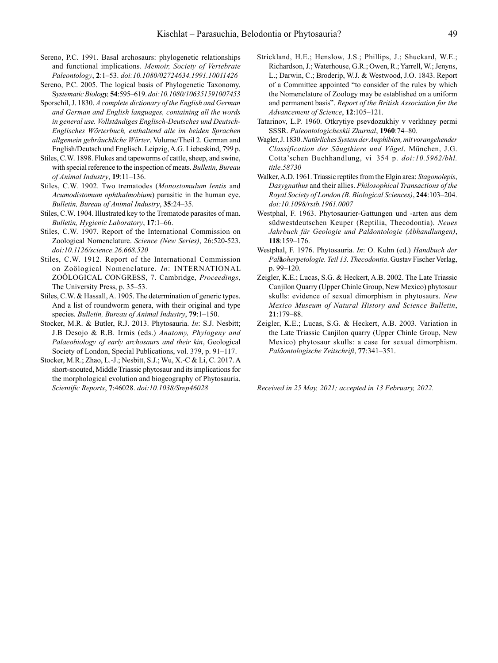- Sereno, P.C. 1991. Basal archosaurs: phylogenetic relationships and functional implications. *Memoir, Society of Vertebrate Paleontology*, **2**:1–53. *doi:10.1080/02724634.1991.10011426*
- Sereno, P.C. 2005. The logical basis of Phylogenetic Taxonomy. S*ystematic Biology,* **54**:595–619. *doi:10.1080/106351591007453*
- Sporschil, J. 1830. *A complete dictionary of the English and German and German and English languages, containing all the words in general use. Vollständiges Englisch-Deutsches und Deutsch-Englisches Wörterbuch, enthaltend alle im beiden Sprachen allgemein gebräuchliche Wörter*. Volume/Theil 2. German and English/Deutsch und Englisch. Leipzig, A.G. Liebeskind, 799 p.
- Stiles, C.W. 1898. Flukes and tapeworms of cattle, sheep, and swine, with special reference to the inspection of meats. *Bulletin, Bureau of Animal Industry*, **19**:11–136.
- Stiles, C.W. 1902. Two trematodes (*Monostomulum lentis* and *Acumodistomum ophthalmobium*) parasitic in the human eye. *Bulletin, Bureau of Animal Industry*, **35**:24–35.
- Stiles, C.W. 1904. Illustrated key to the Trematode parasites of man. *Bulletin, Hygienic Laboratory*, **17**:1–66.
- Stiles, C.W. 1907. Report of the International Commission on Zoological Nomenclature. *Science (New Series)*, 26:520-523. *doi:10.1126/science.26.668.520*
- Stiles, C.W. 1912. Report of the International Commission on Zoölogical Nomenclature. *In*: INTERNATIONAL ZOÖLOGICAL CONGRESS, 7. Cambridge, *Proceedings*, The University Press, p. 35–53.
- Stiles, C.W. & Hassall, A. 1905. The determination of generic types. And a list of roundworm genera, with their original and type species. *Bulletin, Bureau of Animal Industry*, **79**:1–150.
- Stocker, M.R. & Butler, R.J. 2013. Phytosauria. *In*: S.J. Nesbitt; J.B Desojo & R.B. Irmis (eds.) *Anatomy, Phylogeny and Palaeobiology of early archosaurs and their kin*, Geological Society of London, Special Publications, vol. 379, p. 91–117.
- Stocker, M.R.; Zhao, L.-J.; Nesbitt, S.J.; Wu, X.-C & Li, C. 2017. A short-snouted, Middle Triassic phytosaur and its implications for the morphological evolution and biogeography of Phytosauria. *Scientific Reports*, **7**:46028. *doi:10.1038/Srep46028*
- Strickland, H.E.; Henslow, J.S.; Phillips, J.; Shuckard, W.E.; Richardson, J.; Waterhouse, G.R.; Owen, R.; Yarrell, W.; Jenyns, L.; Darwin, C.; Broderip, W.J. & Westwood, J.O. 1843. Report of a Committee appointed "to consider of the rules by which the Nomenclature of Zoology may be established on a uniform and permanent basis". *Report of the British Association for the Advancement of Science*, **12**:105–121.
- Tatarinov, L.P. 1960. Otkrytiye psevdozukhiy v verkhney permi SSSR. *Paleontologicheskii Zhurnal*, **1960**:74–80.
- Wagler, J. 1830. *Natürliches System der Amphibien, mit vorangehender Classification der Säugthiere und Vögel*. München, J.G. Cotta'schen Buchhandlung, vi+354 p. *doi:10.5962/bhl. title.58730*
- Walker, A.D. 1961. Triassic reptiles from the Elgin area: *Stagonolepis*, *Dasygnathus* and their allies. *Philosophical Transactions of the Royal Society of London (B. Biological Sciences)*, **244**:103–204. *doi:10.1098/rstb.1961.0007*
- Westphal, F. 1963. Phytosaurier-Gattungen und -arten aus dem südwestdeutschen Keuper (Reptilia, Thecodontia). *Neues Jahrbuch für Geologie und Paläontologie (Abhandlungen)*, **118**:159–176.
- Westphal, F. 1976. Phytosauria. *In*: O. Kuhn (ed.) *Handbuch der Pal***ä***oherpetologie. Teil 13. Thecodontia*. Gustav Fischer Verlag, p. 99–120.
- Zeigler, K.E.; Lucas, S.G. & Heckert, A.B. 2002. The Late Triassic Canjilon Quarry (Upper Chinle Group, New Mexico) phytosaur skulls: evidence of sexual dimorphism in phytosaurs. *New Mexico Museum of Natural History and Science Bulletin*, **21**:179–88.
- Zeigler, K.E.; Lucas, S.G. & Heckert, A.B. 2003. Variation in the Late Triassic Canjilon quarry (Upper Chinle Group, New Mexico) phytosaur skulls: a case for sexual dimorphism. *Paläontologische Zeitschrift*, **77**:341–351.

*Received in 25 May, 2021; accepted in 13 February, 2022.*